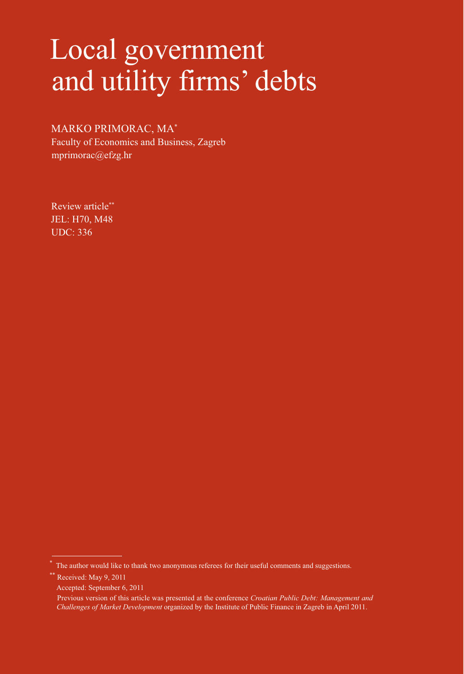# Local government and utility firms' debts

# MARKO PRIMORAC, MA\*

Faculty of Economics and Business, Zagreb mprimorac@efzg.hr

Review article\*\* JEL: H70, M48 UDC: 336

Received: May 9, 2011

<sup>\*</sup> The author would like to thank two anonymous referees for their useful comments and suggestions.

Accepted: September 6, 2011

Previous version of this article was presented at the conference *Croatian Public Debt: Management and Challenges of Market Development* organized by the Institute of Public Finance in Zagreb in April 2011.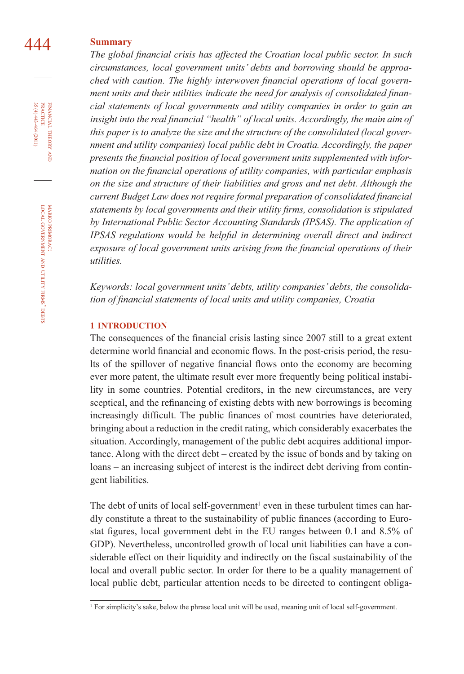# 444 **Summary**

The global financial crisis has affected the Croatian local public sector. In such *circumstances, local government units' debts and borrowing should be approa*ched with caution. The highly interwoven financial operations of local government units and their utilities indicate the need for analysis of consolidated finan*cial statements of local governments and utility companies in order to gain an*  insight into the real financial "health" of local units. Accordingly, the main aim of *this paper is to analyze the size and the structure of the consolidated (local government and utility companies) local public debt in Croatia. Accordingly, the paper*  presents the financial position of local government units supplemented with infor*mation on the financial operations of utility companies, with particular emphasis on the size and structure of their liabilities and gross and net debt. Although the current Budget Law does not require formal preparation of consolidated financial statements by local governments and their utility firms, consolidation is stipulated by International Public Sector Accounting Standards (IPSAS). The application of IPSAS regulations would be helpful in determining overall direct and indirect exposure of local government units arising from the financial operations of their utilities.*

*Keywords: local government units' debts, utility companies' debts, the consolida*tion of financial statements of local units and utility companies, Croatia

#### **1 INTRODUCTION**

The consequences of the financial crisis lasting since 2007 still to a great extent determine world financial and economic flows. In the post-crisis period, the results of the spillover of negative financial flows onto the economy are becoming ever more patent, the ultimate result ever more frequently being political instability in some countries. Potential creditors, in the new circumstances, are very sceptical, and the refinancing of existing debts with new borrowings is becoming increasingly difficult. The public finances of most countries have deteriorated, bringing about a reduction in the credit rating, which considerably exacerbates the situation. Accordingly, management of the public debt acquires additional importance. Along with the direct debt – created by the issue of bonds and by taking on loans – an increasing subject of interest is the indirect debt deriving from contingent liabilities.

The debt of units of local self-government<sup>1</sup> even in these turbulent times can hardly constitute a threat to the sustainability of public finances (according to Eurostat figures, local government debt in the EU ranges between 0.1 and 8.5% of GDP). Nevertheless, uncontrolled growth of local unit liabilities can have a considerable effect on their liquidity and indirectly on the fiscal sustainability of the local and overall public sector. In order for there to be a quality management of local public debt, particular attention needs to be directed to contingent obliga-

FINANCIAL THEORY AND PRACTICE  $35(4)443-464(2011)$ 35 (4) 443-464 (2011) PRACTICE FINANCIAL THEORY

<sup>1</sup> For simplicity's sake, below the phrase local unit will be used, meaning unit of local self-government.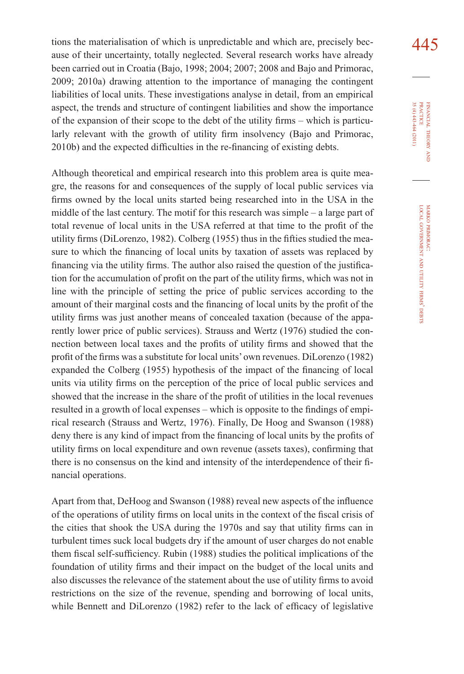tions the materialisation of which is unpredictable and which are, precisely bec- $445$ ause of their uncertainty, totally neglected. Several research works have already been carried out in Croatia (Bajo, 1998; 2004; 2007; 2008 and Bajo and Primorac, 2009; 2010a) drawing attention to the importance of managing the contingent liabilities of local units. These investigations analyse in detail, from an empirical aspect, the trends and structure of contingent liabilities and show the importance of the expansion of their scope to the debt of the utility firms – which is particularly relevant with the growth of utility firm insolvency (Bajo and Primorac, 2010b) and the expected difficulties in the re-financing of existing debts.

Although theoretical and empirical research into this problem area is quite meagre, the reasons for and consequences of the supply of local public services via firms owned by the local units started being researched into in the USA in the middle of the last century. The motif for this research was simple – a large part of total revenue of local units in the USA referred at that time to the profit of the utility firms (DiLorenzo, 1982). Colberg (1955) thus in the fifties studied the measure to which the financing of local units by taxation of assets was replaced by financing via the utility firms. The author also raised the question of the justification for the accumulation of profit on the part of the utility firms, which was not in line with the principle of setting the price of public services according to the amount of their marginal costs and the financing of local units by the profit of the utility firms was just another means of concealed taxation (because of the apparently lower price of public services). Strauss and Wertz (1976) studied the connection between local taxes and the profits of utility firms and showed that the profit of the firms was a substitute for local units' own revenues. DiLorenzo (1982) expanded the Colberg (1955) hypothesis of the impact of the financing of local units via utility firms on the perception of the price of local public services and showed that the increase in the share of the profit of utilities in the local revenues resulted in a growth of local expenses – which is opposite to the findings of empirical research (Strauss and Wertz, 1976). Finally, De Hoog and Swanson (1988) deny there is any kind of impact from the financing of local units by the profits of utility firms on local expenditure and own revenue (assets taxes), confirming that there is no consensus on the kind and intensity of the interdependence of their financial operations.

Apart from that, DeHoog and Swanson (1988) reveal new aspects of the influence of the operations of utility firms on local units in the context of the fiscal crisis of the cities that shook the USA during the 1970s and say that utility firms can in turbulent times suck local budgets dry if the amount of user charges do not enable them fiscal self-sufficiency. Rubin (1988) studies the political implications of the foundation of utility firms and their impact on the budget of the local units and also discusses the relevance of the statement about the use of utility firms to avoid restrictions on the size of the revenue, spending and borrowing of local units, while Bennett and DiLorenzo (1982) refer to the lack of efficacy of legislative

FINANCIAL THEORY FINANCIAL THEORY AND<br>PRACTICE<br>35 (4) 443-464 (2011) 35 (4) 443-464 (2011) PRACTICE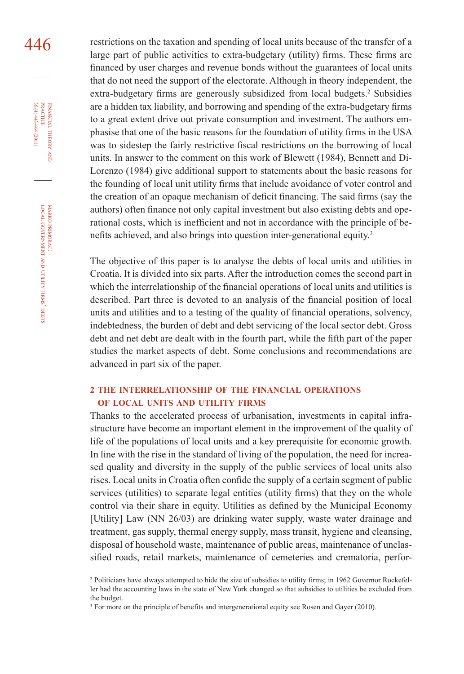446 restrictions on the taxation and spending of local units because of the transfer of a large part of public activities to extra-budgetary (utility) firms. These firms are financed by user charges and revenue bonds without the guarantees of local units that do not need the support of the electorate. Although in theory independent, the extra-budgetary firms are generously subsidized from local budgets.<sup>2</sup> Subsidies are a hidden tax liability, and borrowing and spending of the extra-budgetary firms to a great extent drive out private consumption and investment. The authors emphasise that one of the basic reasons for the foundation of utility firms in the USA was to sidestep the fairly restrictive fiscal restrictions on the borrowing of local units. In answer to the comment on this work of Blewett (1984), Bennett and Di-Lorenzo (1984) give additional support to statements about the basic reasons for the founding of local unit utility firms that include avoidance of voter control and the creation of an opaque mechanism of deficit financing. The said firms (say the authors) often finance not only capital investment but also existing debts and operational costs, which is inefficient and not in accordance with the principle of benefits achieved, and also brings into question inter-generational equity.<sup>3</sup>

> The objective of this paper is to analyse the debts of local units and utilities in Croatia. It is divided into six parts. After the introduction comes the second part in which the interrelationship of the financial operations of local units and utilities is described. Part three is devoted to an analysis of the financial position of local units and utilities and to a testing of the quality of financial operations, solvency, indebtedness, the burden of debt and debt servicing of the local sector debt. Gross debt and net debt are dealt with in the fourth part, while the fifth part of the paper studies the market aspects of debt. Some conclusions and recommendations are advanced in part six of the paper.

# **2 THE INTERRELATIONSHIP OF THE FINANCIAL OPERATIONS OF LOCAL UNITS AND UTILITY FIRMS**

Thanks to the accelerated process of urbanisation, investments in capital infrastructure have become an important element in the improvement of the quality of life of the populations of local units and a key prerequisite for economic growth. In line with the rise in the standard of living of the population, the need for increased quality and diversity in the supply of the public services of local units also rises. Local units in Croatia often confide the supply of a certain segment of public services (utilities) to separate legal entities (utility firms) that they on the whole control via their share in equity. Utilities as defined by the Municipal Economy [Utility] Law (NN 26/03) are drinking water supply, waste water drainage and treatment, gas supply, thermal energy supply, mass transit, hygiene and cleansing, disposal of household waste, maintenance of public areas, maintenance of unclassified roads, retail markets, maintenance of cemeteries and crematoria, perfor-

35 (4) 443-464 (2011) FINANCIAL THEORY AND PRACTICE 35 (4) 443-464 (2011) PRACTICE FINANCIAL THEORY

<sup>2</sup> Politicians have always attempted to hide the size of subsidies to utility firms; in 1962 Governor Rockefeller had the accounting laws in the state of New York changed so that subsidies to utilities be excluded from the budget.

<sup>&</sup>lt;sup>3</sup> For more on the principle of benefits and intergenerational equity see Rosen and Gayer (2010).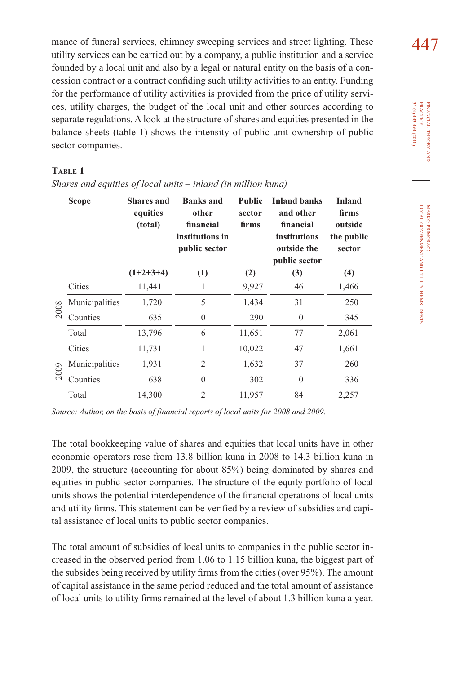mance of funeral services, chimney sweeping services and street lighting. These  $447$ utility services can be carried out by a company, a public institution and a service founded by a local unit and also by a legal or natural entity on the basis of a concession contract or a contract confiding such utility activities to an entity. Funding for the performance of utility activities is provided from the price of utility services, utility charges, the budget of the local unit and other sources according to separate regulations. A look at the structure of shares and equities presented in the balance sheets (table 1) shows the intensity of public unit ownership of public sector companies.

# **TABLE 1**

|      | <b>Scope</b>   | <b>Shares and</b><br>equities<br>(total) | <b>Banks</b> and<br>other<br>financial<br>institutions in<br>public sector | <b>Public</b><br>sector<br>firms | <b>Inland banks</b><br>and other<br>financial<br>institutions<br>outside the<br>public sector | <b>Inland</b><br>firms<br>outside<br>the public<br>sector |
|------|----------------|------------------------------------------|----------------------------------------------------------------------------|----------------------------------|-----------------------------------------------------------------------------------------------|-----------------------------------------------------------|
|      |                | $(1+2+3+4)$                              | (1)                                                                        | (2)                              | (3)                                                                                           | (4)                                                       |
|      | Cities         | 11,441                                   | 1                                                                          | 9,927                            | 46                                                                                            | 1,466                                                     |
| 2008 | Municipalities | 1,720                                    | 5                                                                          | 1,434                            | 31                                                                                            | 250                                                       |
|      | Counties       | 635                                      | $\theta$                                                                   | 290                              | $\mathbf{0}$                                                                                  | 345                                                       |
|      | Total          | 13,796                                   | 6                                                                          | 11,651                           | 77                                                                                            | 2,061                                                     |
|      | Cities         | 11,731                                   | 1                                                                          | 10,022                           | 47                                                                                            | 1,661                                                     |
| 2009 | Municipalities | 1,931                                    | 2                                                                          | 1,632                            | 37                                                                                            | 260                                                       |
|      | Counties       | 638                                      | $\theta$                                                                   | 302                              | $\mathbf{0}$                                                                                  | 336                                                       |
|      | Total          | 14,300                                   | $\overline{2}$                                                             | 11,957                           | 84                                                                                            | 2,257                                                     |

*Shares and equities of local units – inland (in million kuna)*

*Source: Author, on the basis of financial reports of local units for 2008 and 2009.*

The total bookkeeping value of shares and equities that local units have in other economic operators rose from 13.8 billion kuna in 2008 to 14.3 billion kuna in 2009, the structure (accounting for about 85%) being dominated by shares and equities in public sector companies. The structure of the equity portfolio of local units shows the potential interdependence of the financial operations of local units and utility firms. This statement can be verified by a review of subsidies and capital assistance of local units to public sector companies.

The total amount of subsidies of local units to companies in the public sector increased in the observed period from 1.06 to 1.15 billion kuna, the biggest part of the subsides being received by utility firms from the cities (over 95%). The amount of capital assistance in the same period reduced and the total amount of assistance of local units to utility firms remained at the level of about 1.3 billion kuna a year.

FINANCIAL THEORY FINANCIAL THEORY AND<br>PRACTICE<br>35 (4) 443-464 (2011) 35 (4) 443-464 (2011) PRACTICE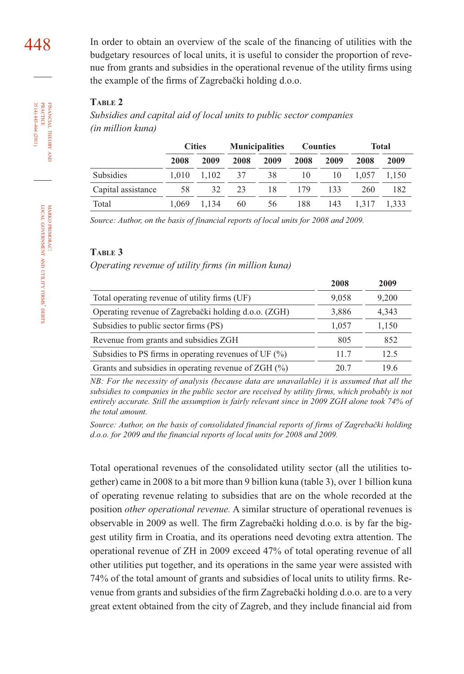$448$  In order to obtain an overview of the scale of the financing of utilities with the budgetary resources of local units, it is useful to consider the proportion of revenue from grants and subsidies in the operational revenue of the utility firms using the example of the firms of Zagrebački holding d.o.o.

# **TABLE 2**

*Subsidies and capital aid of local units to public sector companies (in million kuna)*

|                    | <b>Cities</b> |       | <b>Municipalities</b> |      | <b>Counties</b> |      | <b>Total</b> |       |
|--------------------|---------------|-------|-----------------------|------|-----------------|------|--------------|-------|
|                    | 2008          | 2009  | 2008                  | 2009 | 2008            | 2009 | 2008         | 2009  |
| <b>Subsidies</b>   | 1.010         | 1.102 | 37                    | 38   | 10              | 10   | 1.057        | 1.150 |
| Capital assistance | 58            | 32    | 23                    | 18   | 179             | 133  | 260          | 182   |
| Total              | 1.069         | 1.134 | 60                    | 56   | 188             | 143  | 1.317        | 1.333 |

*Source: Author, on the basis of financial reports of local units for 2008 and 2009.*

#### **TABLE 3**

*Operating revenue of utility firms (in million kuna)* 

|                                                          | 2008  | 2009  |
|----------------------------------------------------------|-------|-------|
| Total operating revenue of utility firms (UF)            | 9,058 | 9,200 |
| Operating revenue of Zagrebački holding d.o.o. (ZGH)     | 3,886 | 4,343 |
| Subsidies to public sector firms (PS)                    | 1,057 | 1,150 |
| Revenue from grants and subsidies ZGH                    | 805   | 852   |
| Subsidies to PS firms in operating revenues of UF $(\%)$ | 11.7  | 12.5  |
| Grants and subsidies in operating revenue of $ZGH$ (%)   | 20 7  | 19.6  |

*NB: For the necessity of analysis (because data are unavailable) it is assumed that all the subsidies to companies in the public sector are received by utility firms, which probably is not entirely accurate. Still the assumption is fairly relevant since in 2009 ZGH alone took 74% of the total amount.*

*Source: Author, on the basis of consolidated financial reports of firms of Zagrebački holding d.o.o. for 2009 and the financial reports of local units for 2008 and 2009.*

Total operational revenues of the consolidated utility sector (all the utilities together) came in 2008 to a bit more than 9 billion kuna (table 3), over 1 billion kuna of operating revenue relating to subsidies that are on the whole recorded at the position *other operational revenue.* A similar structure of operational revenues is observable in 2009 as well. The firm Zagrebački holding d.o.o. is by far the biggest utility firm in Croatia, and its operations need devoting extra attention. The operational revenue of ZH in 2009 exceed 47% of total operating revenue of all other utilities put together, and its operations in the same year were assisted with 74% of the total amount of grants and subsidies of local units to utility firms. Revenue from grants and subsidies of the firm Zagrebački holding d.o.o. are to a very great extent obtained from the city of Zagreb, and they include financial aid from

FINANCIAL

 $35(4)443-464(2011)$ 

THEORY FINANCIAL THEORY AND PRACTICE 35 (4) 443-464 (2011) PRACTICE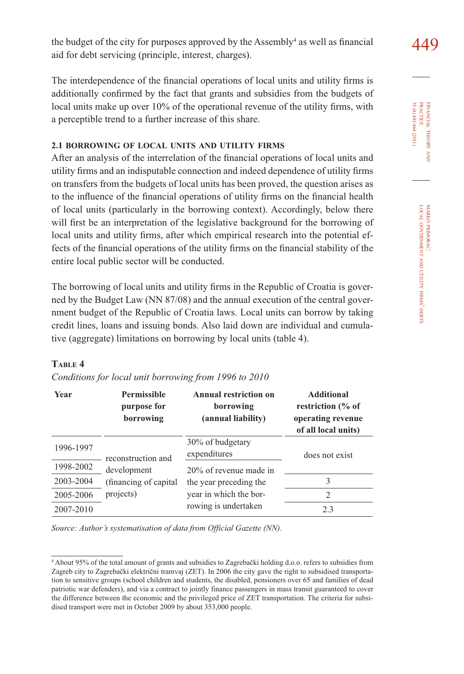the budget of the city for purposes approved by the Assembly<sup>4</sup> as well as financial  $449$ aid for debt servicing (principle, interest, charges).

The interdependence of the financial operations of local units and utility firms is additionally confirmed by the fact that grants and subsidies from the budgets of local units make up over 10% of the operational revenue of the utility firms, with a perceptible trend to a further increase of this share.

# **2.1 BORROWING OF LOCAL UNITS AND UTILITY FIRMS**

After an analysis of the interrelation of the financial operations of local units and utility firms and an indisputable connection and indeed dependence of utility firms on transfers from the budgets of local units has been proved, the question arises as to the influence of the financial operations of utility firms on the financial health of local units (particularly in the borrowing context). Accordingly, below there will first be an interpretation of the legislative background for the borrowing of local units and utility firms, after which empirical research into the potential effects of the financial operations of the utility firms on the financial stability of the entire local public sector will be conducted.

The borrowing of local units and utility firms in the Republic of Croatia is governed by the Budget Law (NN 87/08) and the annual execution of the central government budget of the Republic of Croatia laws. Local units can borrow by taking credit lines, loans and issuing bonds. Also laid down are individual and cumulative (aggregate) limitations on borrowing by local units (table 4).

| <b>Permissible</b><br><b>Year</b><br>purpose for<br>borrowing |                        | Annual restriction on<br>borrowing<br>(annual liability) | Additional<br>restriction (% of<br>operating revenue<br>of all local units) |  |
|---------------------------------------------------------------|------------------------|----------------------------------------------------------|-----------------------------------------------------------------------------|--|
| 1996-1997                                                     | reconstruction and     | 30% of budgetary<br>expenditures                         | does not exist                                                              |  |
| 1998-2002                                                     | development            | 20% of revenue made in                                   |                                                                             |  |
| 2003-2004                                                     | (financing of capital) | the year preceding the                                   | 3                                                                           |  |
| 2005-2006                                                     | projects)              | year in which the bor-                                   | 2                                                                           |  |
| 2007-2010                                                     |                        | rowing is undertaken                                     | 2.3                                                                         |  |

# **TABLE 4**

|  | Conditions for local unit borrowing from 1996 to 2010 |  |
|--|-------------------------------------------------------|--|
|--|-------------------------------------------------------|--|

*Source: Author's systematisation of data from Official Gazette (NN).*

FINANCIAL THEORY FINANCIAL THEORY ANI<br>PRACTICE<br>35 (4) 443-464 (2011) 35 (4) 443-464 (2011) PRACTICE

<sup>4</sup> About 95% of the total amount of grants and subsidies to Zagrebački holding d.o.o. refers to subsidies from Zagreb city to Zagrebački električni tramvaj (ZET). In 2006 the city gave the right to subsidised transportation to sensitive groups (school children and students, the disabled, pensioners over 65 and families of dead patriotic war defenders), and via a contract to jointly finance passengers in mass transit guaranteed to cover the difference between the economic and the privileged price of ZET transportation. The criteria for subsidised transport were met in October 2009 by about 353,000 people.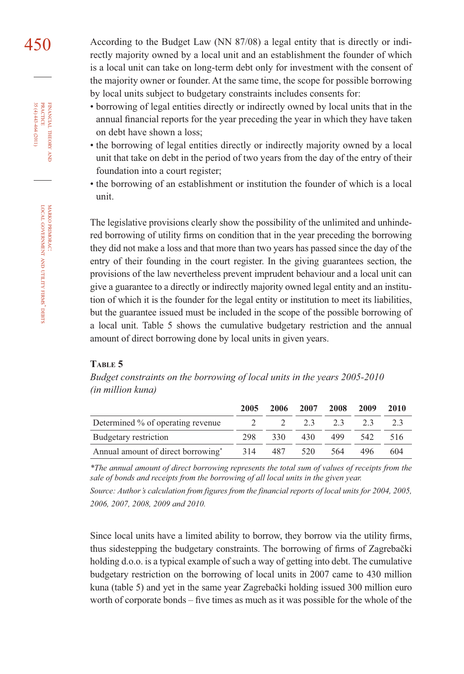450 According to the Budget Law (NN 87/08) a legal entity that is directly or indirectly majority owned by a local unit and an establishment the founder of which is a local unit can take on long-term debt only for investment with the consent of the majority owner or founder. At the same time, the scope for possible borrowing by local units subject to budgetary constraints includes consents for:

- borrowing of legal entities directly or indirectly owned by local units that in the annual financial reports for the year preceding the year in which they have taken on debt have shown a loss;
- the borrowing of legal entities directly or indirectly majority owned by a local unit that take on debt in the period of two years from the day of the entry of their foundation into a court register;
- the borrowing of an establishment or institution the founder of which is a local unit.

The legislative provisions clearly show the possibility of the unlimited and unhindered borrowing of utility firms on condition that in the year preceding the borrowing they did not make a loss and that more than two years has passed since the day of the entry of their founding in the court register. In the giving guarantees section, the provisions of the law nevertheless prevent imprudent behaviour and a local unit can give a guarantee to a directly or indirectly majority owned legal entity and an institution of which it is the founder for the legal entity or institution to meet its liabilities, but the guarantee issued must be included in the scope of the possible borrowing of a local unit. Table 5 shows the cumulative budgetary restriction and the annual amount of direct borrowing done by local units in given years.

#### **TABLE 5**

*Budget constraints on the borrowing of local units in the years 2005-2010 (in million kuna)*

|                                    | 2005 | 2006          | 2007 | 2008 | 2009 | 2010 |
|------------------------------------|------|---------------|------|------|------|------|
| Determined % of operating revenue  |      | $\mathcal{L}$ | 2.3  | 2.3  |      |      |
| Budgetary restriction              | 298  | 330           | 430  | 499  | 542. | 516  |
| Annual amount of direct borrowing* | 314  | 487           | 520  | 564  | 496  | 604  |

*\*The annual amount of direct borrowing represents the total sum of values of receipts from the*  sale of bonds and receipts from the borrowing of all local units in the given year.

*Source: Author's calculation from figures from the financial reports of local units for 2004, 2005, 2006, 2007, 2008, 2009 and 2010.*

Since local units have a limited ability to borrow, they borrow via the utility firms, thus sidestepping the budgetary constraints. The borrowing of firms of Zagrebački holding  $d.o.o.$  is a typical example of such a way of getting into debt. The cumulative budgetary restriction on the borrowing of local units in 2007 came to 430 million kuna (table 5) and yet in the same year Zagrebački holding issued 300 million euro worth of corporate bonds – five times as much as it was possible for the whole of the

35 (4) 443-464 (2011) FINANCIAL THEORY AND PRACTICE 35 (4) 443-464 (2011) PRACTICE FINANCIAL THEORY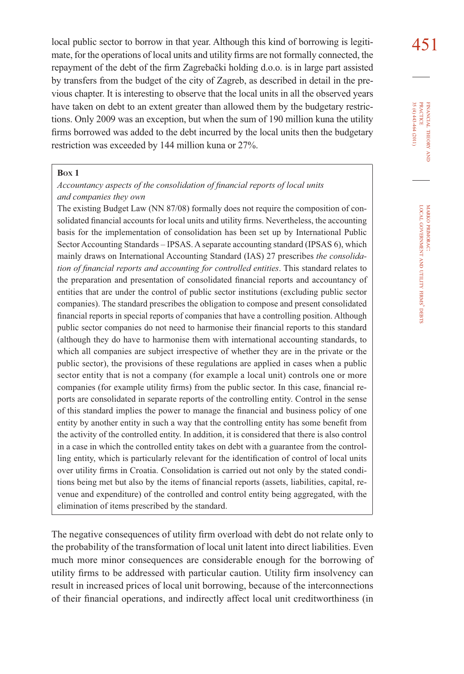local public sector to borrow in that year. Although this kind of borrowing is legiti-<br>451 mate, for the operations of local units and utility firms are not formally connected, the repayment of the debt of the firm Zagrebački holding d.o.o. is in large part assisted by transfers from the budget of the city of Zagreb, as described in detail in the previous chapter. It is interesting to observe that the local units in all the observed years have taken on debt to an extent greater than allowed them by the budgetary restrictions. Only 2009 was an exception, but when the sum of 190 million kuna the utility firms borrowed was added to the debt incurred by the local units then the budgetary restriction was exceeded by 144 million kuna or 27%.

#### **BOX 1**

## *Accountancy aspects of the consolidation of financial reports of local units and companies they own*

The existing Budget Law (NN 87/08) formally does not require the composition of consolidated financial accounts for local units and utility firms. Nevertheless, the accounting basis for the implementation of consolidation has been set up by International Public Sector Accounting Standards – IPSAS. A separate accounting standard (IPSAS 6), which mainly draws on International Accounting Standard (IAS) 27 prescribes *the consolidation of financial reports and accounting for controlled entities*. This standard relates to the preparation and presentation of consolidated financial reports and accountancy of entities that are under the control of public sector institutions (excluding public sector companies). The standard prescribes the obligation to compose and present consolidated financial reports in special reports of companies that have a controlling position. Although public sector companies do not need to harmonise their financial reports to this standard (although they do have to harmonise them with international accounting standards, to which all companies are subject irrespective of whether they are in the private or the public sector), the provisions of these regulations are applied in cases when a public sector entity that is not a company (for example a local unit) controls one or more companies (for example utility firms) from the public sector. In this case, financial reports are consolidated in separate reports of the controlling entity. Control in the sense of this standard implies the power to manage the financial and business policy of one entity by another entity in such a way that the controlling entity has some benefit from the activity of the controlled entity. In addition, it is considered that there is also control in a case in which the controlled entity takes on debt with a guarantee from the controlling entity, which is particularly relevant for the identification of control of local units over utility firms in Croatia. Consolidation is carried out not only by the stated conditions being met but also by the items of financial reports (assets, liabilities, capital, revenue and expenditure) of the controlled and control entity being aggregated, with the elimination of items prescribed by the standard.

The negative consequences of utility firm overload with debt do not relate only to the probability of the transformation of local unit latent into direct liabilities. Even much more minor consequences are considerable enough for the borrowing of utility firms to be addressed with particular caution. Utility firm insolvency can result in increased prices of local unit borrowing, because of the interconnections of their financial operations, and indirectly affect local unit creditworthiness (in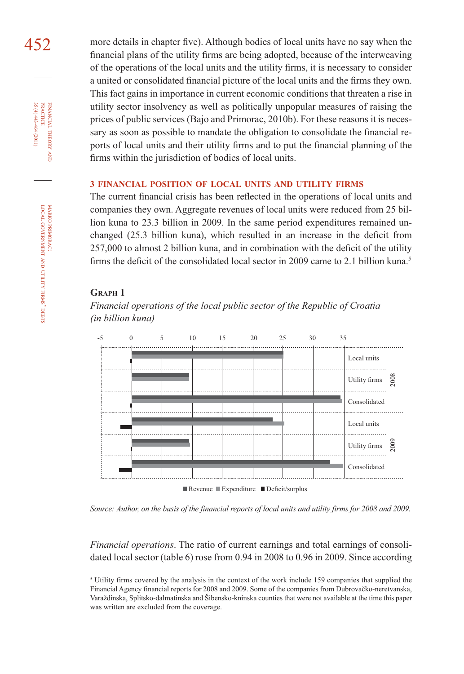FINANCIAL

THEORY AND

MARKO PRIMORAC: LOCAL GOVERNMENT AND **NTILITY** FIRMS' DEBTS

452 more details in chapter five). Although bodies of local units have no say when the financial plans of the utility firms are being adopted, because of the interweaving of the operations of the local units and the utility firms, it is necessary to consider a united or consolidated financial picture of the local units and the firms they own. This fact gains in importance in current economic conditions that threaten a rise in utility sector insolvency as well as politically unpopular measures of raising the prices of public services (Bajo and Primorac, 2010b). For these reasons it is necessary as soon as possible to mandate the obligation to consolidate the financial reports of local units and their utility firms and to put the financial planning of the firms within the jurisdiction of bodies of local units.

#### **3 FINANCIAL POSITION OF LOCAL UNITS AND UTILITY FIRMS**

The current financial crisis has been reflected in the operations of local units and companies they own. Aggregate revenues of local units were reduced from 25 billion kuna to 23.3 billion in 2009. In the same period expenditures remained unchanged  $(25.3 \text{ billion kuna})$ , which resulted in an increase in the deficit from 257,000 to almost 2 billion kuna, and in combination with the deficit of the utility firms the deficit of the consolidated local sector in 2009 came to 2.1 billion kuna.<sup>5</sup>

# **GRAPH 1**

*Financial operations of the local public sector of the Republic of Croatia (in billion kuna)*



*Source: Author, on the basis of the financial reports of local units and utility firms for 2008 and 2009.*

*Financial operations*. The ratio of current earnings and total earnings of consolidated local sector (table 6) rose from 0.94 in 2008 to 0.96 in 2009. Since according

<sup>&</sup>lt;sup>5</sup> Utility firms covered by the analysis in the context of the work include 159 companies that supplied the Financial Agency financial reports for 2008 and 2009. Some of the companies from Dubrovačko-neretvanska, Varaždinska, Splitsko-dalmatinska and Šibensko-kninska counties that were not available at the time this paper was written are excluded from the coverage.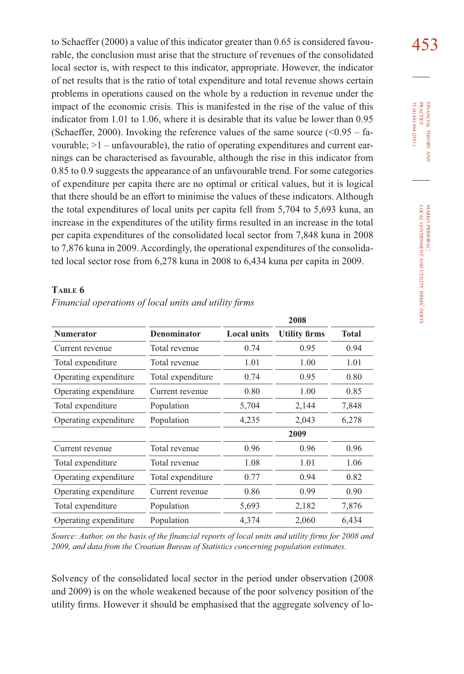to Schaeffer (2000) a value of this indicator greater than 0.65 is considered favou- $\frac{453}{100}$ rable, the conclusion must arise that the structure of revenues of the consolidated local sector is, with respect to this indicator, appropriate. However, the indicator of net results that is the ratio of total expenditure and total revenue shows certain problems in operations caused on the whole by a reduction in revenue under the impact of the economic crisis. This is manifested in the rise of the value of this indicator from 1.01 to 1.06, where it is desirable that its value be lower than 0.95 (Schaeffer, 2000). Invoking the reference values of the same source  $(<0.95 - fa$ vourable; >1 – unfavourable), the ratio of operating expenditures and current earnings can be characterised as favourable, although the rise in this indicator from 0.85 to 0.9 suggests the appearance of an unfavourable trend. For some categories of expenditure per capita there are no optimal or critical values, but it is logical that there should be an effort to minimise the values of these indicators. Although the total expenditures of local units per capita fell from 5,704 to 5,693 kuna, an increase in the expenditures of the utility firms resulted in an increase in the total per capita expenditures of the consolidated local sector from 7,848 kuna in 2008 to 7,876 kuna in 2009. Accordingly, the operational expenditures of the consolidated local sector rose from 6,278 kuna in 2008 to 6,434 kuna per capita in 2009.

# **TABLE 6**

|                                            |                   |                    | 2008                 |              |
|--------------------------------------------|-------------------|--------------------|----------------------|--------------|
| <b>Numerator</b>                           | Denominator       | <b>Local units</b> | <b>Utility firms</b> | <b>Total</b> |
| Current revenue                            | Total revenue     | 0.74               | 0.95                 | 0.94         |
| Total expenditure                          | Total revenue     | 1.01               | 1.00                 | 1.01         |
| Operating expenditure                      | Total expenditure | 0.74               | 0.95                 | 0.80         |
| Operating expenditure<br>Current revenue   |                   | 0.80               | 1.00                 | 0.85         |
| Total expenditure                          | Population        |                    | 2,144                | 7,848        |
| Operating expenditure                      | Population        | 4,235              | 2,043                | 6,278        |
|                                            |                   |                    | 2009                 |              |
| Current revenue                            | Total revenue     | 0.96               | 0.96                 | 0.96         |
| Total expenditure                          | Total revenue     | 1.08               | 1.01                 | 1.06         |
| Total expenditure<br>Operating expenditure |                   | 0.77               | 0.94                 | 0.82         |
| Operating expenditure<br>Current revenue   |                   | 0.86               | 0.99                 | 0.90         |
| Total expenditure                          | Population        | 5,693              | 2,182                | 7,876        |
| Operating expenditure                      | Population        | 4,374              | 2,060                | 6,434        |

#### *Financial operations of local units and utility firms*

*Source: Author, on the basis of the financial reports of local units and utility firms for 2008 and 2009, and data from the Croatian Bureau of Statistics concerning population estimates.*

Solvency of the consolidated local sector in the period under observation (2008 and 2009) is on the whole weakened because of the poor solvency position of the utility firms. However it should be emphasised that the aggregate solvency of lo-

FINANCIAL THEORY PRACTICE 35 (4) 443-464 (2011) PRACTICE FINANCIAL 35 (4) 443-464 (2011) THEORY AND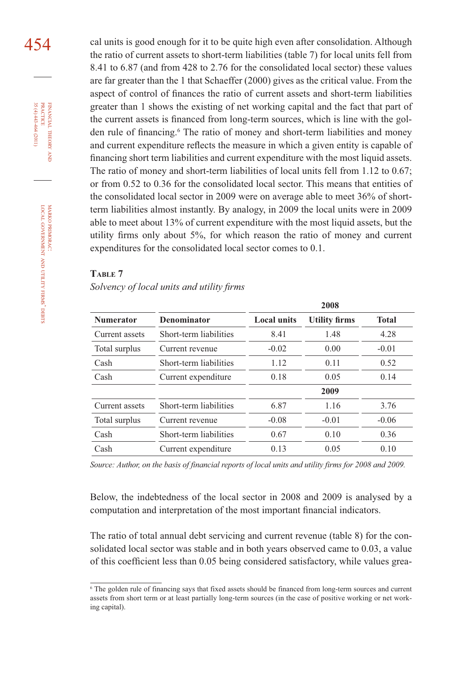454 cal units is good enough for it to be quite high even after consolidation. Although the ratio of current assets to short-term liabilities (table 7) for local units fell from 8.41 to 6.87 (and from 428 to 2.76 for the consolidated local sector) these values are far greater than the 1 that Schaeffer (2000) gives as the critical value. From the aspect of control of finances the ratio of current assets and short-term liabilities greater than 1 shows the existing of net working capital and the fact that part of the current assets is financed from long-term sources, which is line with the golden rule of financing.<sup>6</sup> The ratio of money and short-term liabilities and money and current expenditure reflects the measure in which a given entity is capable of financing short term liabilities and current expenditure with the most liquid assets. The ratio of money and short-term liabilities of local units fell from 1.12 to 0.67; or from 0.52 to 0.36 for the consolidated local sector. This means that entities of the consolidated local sector in 2009 were on average able to meet 36% of shortterm liabilities almost instantly. By analogy, in 2009 the local units were in 2009 able to meet about 13% of current expenditure with the most liquid assets, but the utility firms only about 5%, for which reason the ratio of money and current expenditures for the consolidated local sector comes to 0.1.

#### **TABLE 7**

Solvency of local units and utility firms

|                  |                        |                    | 2008                 |              |
|------------------|------------------------|--------------------|----------------------|--------------|
| <b>Numerator</b> | <b>Denominator</b>     | <b>Local units</b> | <b>Utility firms</b> | <b>Total</b> |
| Current assets   | Short-term liabilities | 8.41               | 1.48                 | 4.28         |
| Total surplus    | Current revenue        | $-0.02$            | 0.00                 | $-0.01$      |
| Cash             | Short-term liabilities | 1.12               | 0.11                 | 0.52         |
| Cash             | Current expenditure    | 0.18               | 0.05                 | 0.14         |
|                  |                        |                    | 2009                 |              |
| Current assets   | Short-term liabilities | 6.87               | 1.16                 | 3.76         |
| Total surplus    | Current revenue        | $-0.08$            | $-0.01$              | $-0.06$      |
| Cash             | Short-term liabilities | 0.67               | 0.10                 | 0.36         |
| Cash             | Current expenditure    | 0.13               | 0.05                 | 0.10         |

*Source: Author, on the basis of financial reports of local units and utility firms for 2008 and 2009.*

Below, the indebtedness of the local sector in 2008 and 2009 is analysed by a computation and interpretation of the most important financial indicators.

The ratio of total annual debt servicing and current revenue (table 8) for the consolidated local sector was stable and in both years observed came to 0.03, a value of this coefficient less than 0.05 being considered satisfactory, while values grea-

<sup>6</sup> The golden rule of financing says that fixed assets should be financed from long-term sources and current assets from short term or at least partially long-term sources (in the case of positive working or net working capital).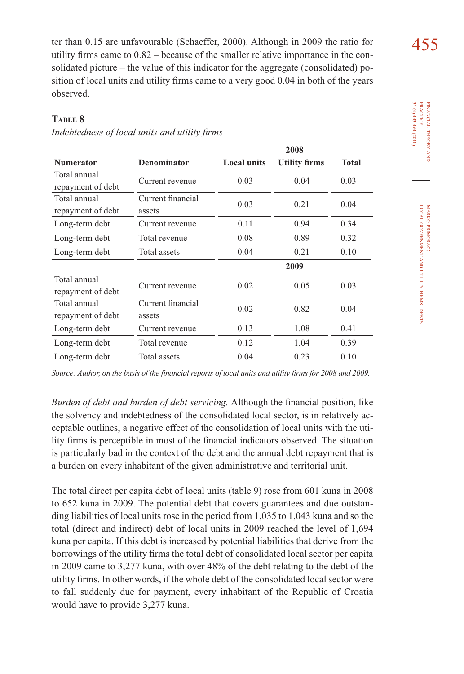ter than 0.15 are unfavourable (Schaeffer, 2000). Although in 2009 the ratio for  $\frac{455}{100}$ utility firms came to  $0.82$  – because of the smaller relative importance in the consolidated picture – the value of this indicator for the aggregate (consolidated) position of local units and utility firms came to a very good 0.04 in both of the years observed.

# **TABLE 8**

|                                   |                             |                    | 2008                 |              |  |
|-----------------------------------|-----------------------------|--------------------|----------------------|--------------|--|
| <b>Numerator</b>                  | <b>Denominator</b>          | <b>Local units</b> | <b>Utility firms</b> | <b>Total</b> |  |
| Total annual<br>repayment of debt | Current revenue             | 0.03               | 0.04                 | 0.03         |  |
| Total annual<br>repayment of debt | Current financial<br>assets | 0.03               | 0.21                 | 0.04         |  |
| Long-term debt                    | Current revenue             | 0.11               | 0.94                 | 0.34         |  |
| Long-term debt                    | Total revenue               |                    | 0.89                 | 0.32         |  |
| Long-term debt                    | Total assets                | 0.04               | 0.21                 | 0.10         |  |
|                                   |                             |                    | 2009                 |              |  |
| Total annual<br>repayment of debt | Current revenue             | 0.02               | 0.05                 | 0.03         |  |
| Total annual<br>repayment of debt | Current financial<br>assets | 0.02               | 0.82                 | 0.04         |  |
| Long-term debt                    | Current revenue             | 0.13               | 1.08                 | 0.41         |  |
| Long-term debt                    | Total revenue               | 0.12               | 1.04                 | 0.39         |  |
| Long-term debt                    | Total assets                | 0.04               | 0.23                 | 0.10         |  |

# Indebtedness of local units and utility firms

*Source: Author, on the basis of the financial reports of local units and utility firms for 2008 and 2009.*

*Burden of debt and burden of debt servicing.* Although the financial position, like the solvency and indebtedness of the consolidated local sector, is in relatively acceptable outlines, a negative effect of the consolidation of local units with the utility firms is perceptible in most of the financial indicators observed. The situation is particularly bad in the context of the debt and the annual debt repayment that is a burden on every inhabitant of the given administrative and territorial unit.

The total direct per capita debt of local units (table 9) rose from 601 kuna in 2008 to 652 kuna in 2009. The potential debt that covers guarantees and due outstanding liabilities of local units rose in the period from 1,035 to 1,043 kuna and so the total (direct and indirect) debt of local units in 2009 reached the level of 1,694 kuna per capita. If this debt is increased by potential liabilities that derive from the borrowings of the utility firms the total debt of consolidated local sector per capita in 2009 came to 3,277 kuna, with over 48% of the debt relating to the debt of the utility firms. In other words, if the whole debt of the consolidated local sector were to fall suddenly due for payment, every inhabitant of the Republic of Croatia would have to provide 3,277 kuna.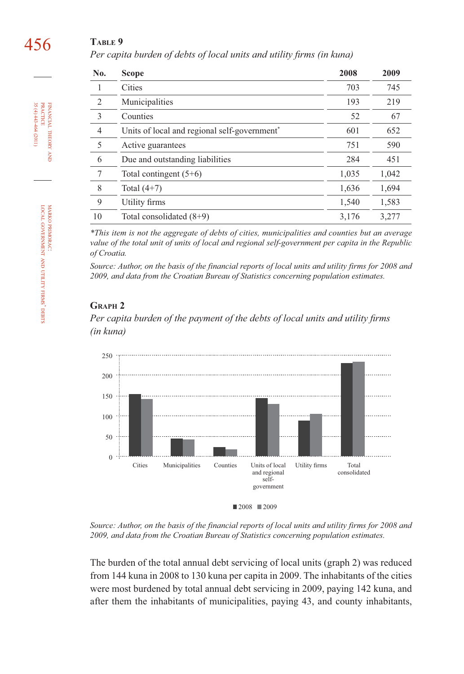# **TABLE 9**

Per capita burden of debts of local units and utility firms (in kuna)

| No.            | <b>Scope</b>                                             | 2008  | 2009  |
|----------------|----------------------------------------------------------|-------|-------|
|                | Cities                                                   | 703   | 745   |
| 2              | Municipalities                                           | 193   | 219   |
| 3              | Counties                                                 | 52    | 67    |
| $\overline{4}$ | Units of local and regional self-government <sup>*</sup> | 601   | 652   |
| 5              | Active guarantees                                        | 751   | 590   |
| 6              | Due and outstanding liabilities                          | 284   | 451   |
| 7              | Total contingent $(5+6)$                                 | 1,035 | 1,042 |
| 8              | Total $(4+7)$                                            | 1,636 | 1,694 |
| 9              | Utility firms                                            | 1,540 | 1,583 |
| 10             | Total consolidated $(8+9)$                               | 3,176 | 3,277 |

*\*This item is not the aggregate of debts of cities, municipalities and counties but an average value of the total unit of units of local and regional self-government per capita in the Republic of Croatia.* 

*Source: Author, on the basis of the financial reports of local units and utility firms for 2008 and 2009, and data from the Croatian Bureau of Statistics concerning population estimates.*

# **GRAPH 2**

Per capita burden of the payment of the debts of local units and utility firms *(in kuna)*



*Source: Author, on the basis of the financial reports of local units and utility firms for 2008 and 2009, and data from the Croatian Bureau of Statistics concerning population estimates.*

The burden of the total annual debt servicing of local units (graph 2) was reduced from 144 kuna in 2008 to 130 kuna per capita in 2009. The inhabitants of the cities were most burdened by total annual debt servicing in 2009, paying 142 kuna, and after them the inhabitants of municipalities, paying 43, and county inhabitants,

456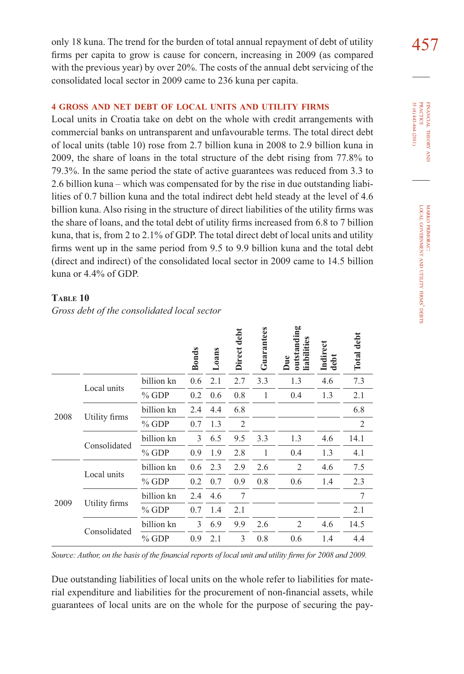only 18 kuna. The trend for the burden of total annual repayment of debt of utility  $\frac{457}{100}$ firms per capita to grow is cause for concern, increasing in 2009 (as compared with the previous year) by over 20%. The costs of the annual debt servicing of the consolidated local sector in 2009 came to 236 kuna per capita.

# **4 GROSS AND NET DEBT OF LOCAL UNITS AND UTILITY FIRMS**

Local units in Croatia take on debt on the whole with credit arrangements with commercial banks on untransparent and unfavourable terms. The total direct debt of local units (table 10) rose from 2.7 billion kuna in 2008 to 2.9 billion kuna in 2009, the share of loans in the total structure of the debt rising from 77.8% to 79.3%. In the same period the state of active guarantees was reduced from 3.3 to 2.6 billion kuna – which was compensated for by the rise in due outstanding liabilities of 0.7 billion kuna and the total indirect debt held steady at the level of 4.6 billion kuna. Also rising in the structure of direct liabilities of the utility firms was the share of loans, and the total debt of utility firms increased from 6.8 to 7 billion kuna, that is, from 2 to  $2.1\%$  of GDP. The total direct debt of local units and utility firms went up in the same period from 9.5 to 9.9 billion kuna and the total debt (direct and indirect) of the consolidated local sector in 2009 came to 14.5 billion kuna or 4.4% of GDP.

#### **TABLE 10**

*Gross debt of the consolidated local sector*

|      |               |            | <b>Bonds</b> | Loans | Direct debt | Guarantees | outstanding<br>liabilities<br>Due | Indirect<br>debt | Total debt     |
|------|---------------|------------|--------------|-------|-------------|------------|-----------------------------------|------------------|----------------|
|      | Local units   | billion kn | 0.6          | 2.1   | 2.7         | 3.3        | 1.3                               | 4.6              | 7.3            |
|      |               | $%$ GDP    | 0.2          | 0.6   | 0.8         | 1          | 0.4                               | 1.3              | 2.1            |
| 2008 | Utility firms | billion kn | 2.4          | 4.4   | 6.8         |            |                                   |                  | 6.8            |
|      |               | $%$ GDP    | 0.7          | 1.3   | 2           |            |                                   |                  | $\overline{2}$ |
|      | Consolidated  | billion kn | 3            | 6.5   | 9.5         | 3.3        | 1.3                               | 4.6              | 14.1           |
|      |               | $%$ GDP    | 0.9          | 1.9   | 2.8         | 1          | 0.4                               | 1.3              | 4.1            |
|      | Local units   | billion kn | 0.6          | 2.3   | 2.9         | 2.6        | 2                                 | 4.6              | 7.5            |
|      |               | $%$ GDP    | 0.2          | 0.7   | 0.9         | 0.8        | 0.6                               | 1.4              | 2.3            |
|      |               | billion kn | 2.4          | 4.6   | 7           |            |                                   |                  | 7              |
| 2009 | Utility firms | $%$ GDP    | 0.7          | 1.4   | 2.1         |            |                                   |                  | 2.1            |
|      |               | billion kn | 3            | 6.9   | 9.9         | 2.6        | 2                                 | 4.6              | 14.5           |
|      | Consolidated  | $%$ GDP    | 0.9          | 2.1   | 3           | 0.8        | 0.6                               | 1.4              | 4.4            |

ьe

*Source: Author, on the basis of the financial reports of local unit and utility firms for 2008 and 2009.*

Due outstanding liabilities of local units on the whole refer to liabilities for material expenditure and liabilities for the procurement of non-financial assets, while guarantees of local units are on the whole for the purpose of securing the pay-

FINANCIAL THEORY FINANCIAL THEORY AND PRACTICE<br>PRACTICE<br>35 (4) 443-464 (2011) 35 (4) 443-464 (2011) PRACTICE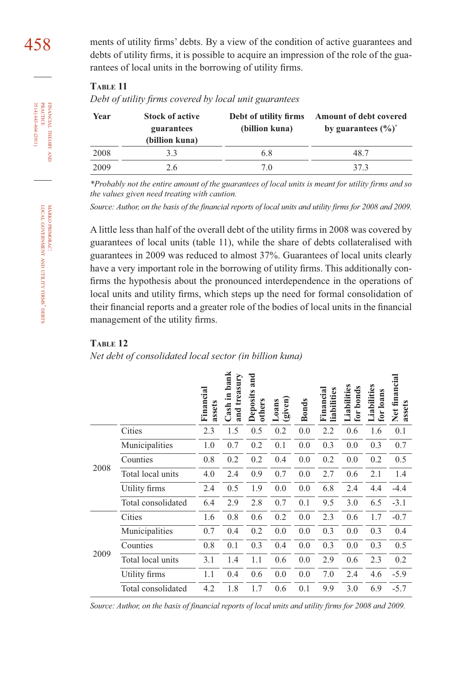# **TABLE 11**

*Debt of utility fi rms covered by local unit guarantees*

| <b>Stock of active</b><br>Year<br>guarantees<br>(billion kuna) |     | Debt of utility firms<br>(billion kuna) | <b>Amount of debt covered</b><br>by guarantees $(\%)^*$ |  |  |
|----------------------------------------------------------------|-----|-----------------------------------------|---------------------------------------------------------|--|--|
| 2008                                                           | 3.3 | 6.8                                     | 48.7                                                    |  |  |
| 2009                                                           | 2.6 | 7.0                                     | 37.3                                                    |  |  |

*\*Probably not the entire amount of the guarantees of local units is meant for utility firms and so the values given need treating with caution.*

*Source: Author, on the basis of the financial reports of local units and utility firms for 2008 and 2009.* 

A little less than half of the overall debt of the utility firms in 2008 was covered by guarantees of local units (table 11), while the share of debts collateralised with guarantees in 2009 was reduced to almost 37%. Guarantees of local units clearly have a very important role in the borrowing of utility firms. This additionally confirms the hypothesis about the pronounced interdependence in the operations of local units and utility firms, which steps up the need for formal consolidation of their financial reports and a greater role of the bodies of local units in the financial management of the utility firms.

#### **TABLE 12**

#### *Net debt of consolidated local sector (in billion kuna)*

|      |                    | Financial<br>assets | Cash in bank<br>treasury<br>and | and<br>Deposits<br>others | (given)<br>Loans | <b>Bonds</b> | Financial<br>liabilities | Liabilities<br>for bonds | Liabilities<br>for loans | Net financial<br>assets |
|------|--------------------|---------------------|---------------------------------|---------------------------|------------------|--------------|--------------------------|--------------------------|--------------------------|-------------------------|
| 2008 | Cities             | 2.3                 | 1.5                             | 0.5                       | 0.2              | 0.0          | 2.2                      | 0.6                      | 1.6                      | 0.1                     |
|      | Municipalities     | 1.0                 | 0.7                             | 0.2                       | 0.1              | 0.0          | 0.3                      | 0.0                      | 0.3                      | 0.7                     |
|      | Counties           | 0.8                 | 0.2                             | 0.2                       | 0.4              | 0.0          | 0.2                      | 0.0                      | 0.2                      | 0.5                     |
|      | Total local units  | 4.0                 | 2.4                             | 0.9                       | 0.7              | 0.0          | 2.7                      | 0.6                      | 2.1                      | 1.4                     |
|      | Utility firms      | 2.4                 | 0.5                             | 1.9                       | 0.0              | 0.0          | 6.8                      | 2.4                      | 4.4                      | $-4.4$                  |
|      | Total consolidated | 6.4                 | 2.9                             | 2.8                       | 0.7              | 0.1          | 9.5                      | 3.0                      | 6.5                      | $-3.1$                  |
| 2009 | Cities             | 1.6                 | 0.8                             | 0.6                       | 0.2              | 0.0          | 2.3                      | 0.6                      | 1.7                      | $-0.7$                  |
|      | Municipalities     | 0.7                 | 0.4                             | 0.2                       | 0.0              | 0.0          | 0.3                      | 0.0                      | 0.3                      | 0.4                     |
|      | Counties           | 0.8                 | 0.1                             | 0.3                       | 0.4              | 0.0          | 0.3                      | 0.0                      | 0.3                      | 0.5                     |
|      | Total local units  | 3.1                 | 1.4                             | 1.1                       | 0.6              | 0.0          | 2.9                      | 0.6                      | 2.3                      | 0.2                     |
|      | Utility firms      | 1.1                 | 0.4                             | 0.6                       | 0.0              | 0.0          | 7.0                      | 2.4                      | 4.6                      | $-5.9$                  |
|      | Total consolidated | 4.2                 | 1.8                             | 1.7                       | 0.6              | 0.1          | 9.9                      | 3.0                      | 6.9                      | $-5.7$                  |

*Source: Author, on the basis of financial reports of local units and utility firms for 2008 and 2009.*

35 (4) 443-464 (2011) FINANCIAL THEORY AND PRACTICE 35 (4) 443-464 (2011) PRACTICE FINANCIAL THEORY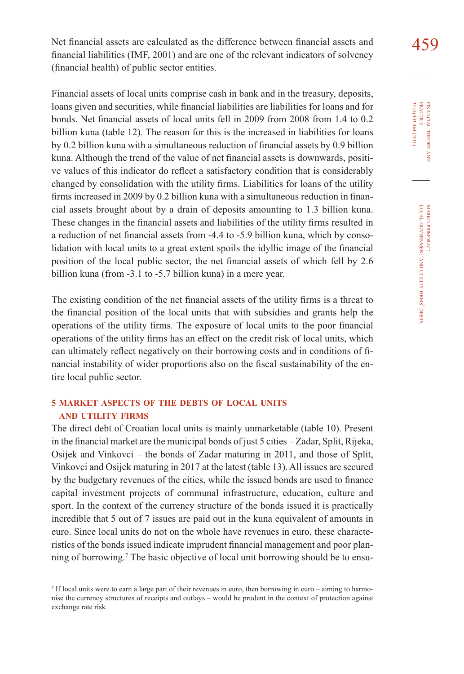Net financial assets are calculated as the difference between financial assets and  $459$ financial liabilities (IMF,  $2001$ ) and are one of the relevant indicators of solvency (financial health) of public sector entities.

Financial assets of local units comprise cash in bank and in the treasury, deposits, loans given and securities, while financial liabilities are liabilities for loans and for bonds. Net financial assets of local units fell in 2009 from 2008 from 1.4 to 0.2 billion kuna (table 12). The reason for this is the increased in liabilities for loans by 0.2 billion kuna with a simultaneous reduction of financial assets by 0.9 billion kuna. Although the trend of the value of net financial assets is downwards, positive values of this indicator do reflect a satisfactory condition that is considerably changed by consolidation with the utility firms. Liabilities for loans of the utility firms increased in 2009 by 0.2 billion kuna with a simultaneous reduction in financial assets brought about by a drain of deposits amounting to 1.3 billion kuna. These changes in the financial assets and liabilities of the utility firms resulted in a reduction of net financial assets from -4.4 to -5.9 billion kuna, which by consolidation with local units to a great extent spoils the idyllic image of the financial position of the local public sector, the net financial assets of which fell by 2.6 billion kuna (from -3.1 to -5.7 billion kuna) in a mere year.

The existing condition of the net financial assets of the utility firms is a threat to the financial position of the local units that with subsidies and grants help the operations of the utility firms. The exposure of local units to the poor financial operations of the utility firms has an effect on the credit risk of local units, which can ultimately reflect negatively on their borrowing costs and in conditions of financial instability of wider proportions also on the fiscal sustainability of the entire local public sector.

# **5 MARKET ASPECTS OF THE DEBTS OF LOCAL UNITS AND UTILITY FIRMS**

The direct debt of Croatian local units is mainly unmarketable (table 10). Present in the financial market are the municipal bonds of just 5 cities – Zadar, Split, Rijeka, Osijek and Vinkovci – the bonds of Zadar maturing in 2011, and those of Split, Vinkovci and Osijek maturing in 2017 at the latest (table 13). All issues are secured by the budgetary revenues of the cities, while the issued bonds are used to finance capital investment projects of communal infrastructure, education, culture and sport. In the context of the currency structure of the bonds issued it is practically incredible that 5 out of 7 issues are paid out in the kuna equivalent of amounts in euro. Since local units do not on the whole have revenues in euro, these characteristics of the bonds issued indicate imprudent financial management and poor planning of borrowing.7 The basic objective of local unit borrowing should be to ensu-

FINANCIAL THEORY FINANCIAL THEORY AND<br>PRACTICE<br>35 (4) 443-464 (2011) 35 (4) 443-464 (2011) PRACTICE

<sup>7</sup> If local units were to earn a large part of their revenues in euro, then borrowing in euro – aiming to harmonise the currency structures of receipts and outlays – would be prudent in the context of protection against exchange rate risk.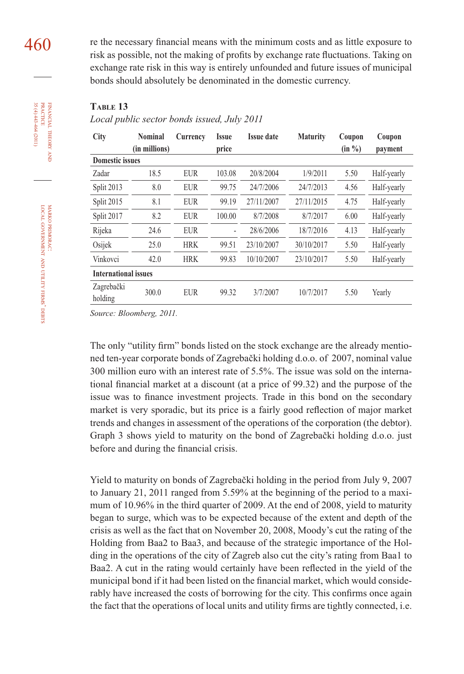460 re the necessary financial means with the minimum costs and as little exposure to risk as possible, not the making of profits by exchange rate fluctuations. Taking on exchange rate risk in this way is entirely unfounded and future issues of municipal bonds should absolutely be denominated in the domestic currency.

#### **TABLE 13**

#### *Local public sector bonds issued, July 2011*

| City                        | <b>Nominal</b><br>(in millions) | Currency   | Issue<br>price | <b>Issue date</b> | <b>Maturity</b> | Coupon<br>$(in \%)$ | Coupon<br>payment |  |  |
|-----------------------------|---------------------------------|------------|----------------|-------------------|-----------------|---------------------|-------------------|--|--|
| <b>Domestic issues</b>      |                                 |            |                |                   |                 |                     |                   |  |  |
| Zadar                       | 18.5                            | <b>EUR</b> | 103.08         | 20/8/2004         | 1/9/2011        | 5.50                | Half-yearly       |  |  |
| Split 2013                  | 8.0                             | <b>EUR</b> | 99.75          | 24/7/2006         | 24/7/2013       | 4.56                | Half-yearly       |  |  |
| Split 2015                  | 8.1                             | <b>EUR</b> | 99.19          | 27/11/2007        | 27/11/2015      | 4.75                | Half-yearly       |  |  |
| Split 2017                  | 8.2                             | <b>EUR</b> | 100.00         | 8/7/2008          | 8/7/2017        | 6.00                | Half-yearly       |  |  |
| Rijeka                      | 24.6                            | <b>EUR</b> | $\overline{a}$ | 28/6/2006         | 18/7/2016       | 4.13                | Half-yearly       |  |  |
| Osijek                      | 25.0                            | <b>HRK</b> | 99.51          | 23/10/2007        | 30/10/2017      | 5.50                | Half-yearly       |  |  |
| Vinkovci                    | 42.0                            | <b>HRK</b> | 99.83          | 10/10/2007        | 23/10/2017      | 5.50                | Half-yearly       |  |  |
| <b>International issues</b> |                                 |            |                |                   |                 |                     |                   |  |  |
| Zagrebački<br>holding       | 300.0                           | <b>EUR</b> | 99.32          | 3/7/2007          | 10/7/2017       | 5.50                | Yearly            |  |  |

*Source: Bloomberg, 2011.*

The only "utility firm" bonds listed on the stock exchange are the already mentioned ten-year corporate bonds of Zagrebački holding d.o.o. of 2007, nominal value 300 million euro with an interest rate of 5.5%. The issue was sold on the international financial market at a discount (at a price of 99.32) and the purpose of the issue was to finance investment projects. Trade in this bond on the secondary market is very sporadic, but its price is a fairly good reflection of major market trends and changes in assessment of the operations of the corporation (the debtor). Graph 3 shows yield to maturity on the bond of Zagrebački holding d.o.o. just before and during the financial crisis.

Yield to maturity on bonds of Zagrebački holding in the period from July 9, 2007 to January 21, 2011 ranged from 5.59% at the beginning of the period to a maximum of 10.96% in the third quarter of 2009. At the end of 2008, yield to maturity began to surge, which was to be expected because of the extent and depth of the crisis as well as the fact that on November 20, 2008, Moody's cut the rating of the Holding from Baa2 to Baa3, and because of the strategic importance of the Holding in the operations of the city of Zagreb also cut the city's rating from Baa1 to Baa2. A cut in the rating would certainly have been reflected in the yield of the municipal bond if it had been listed on the financial market, which would considerably have increased the costs of borrowing for the city. This confirms once again the fact that the operations of local units and utility firms are tightly connected, i.e.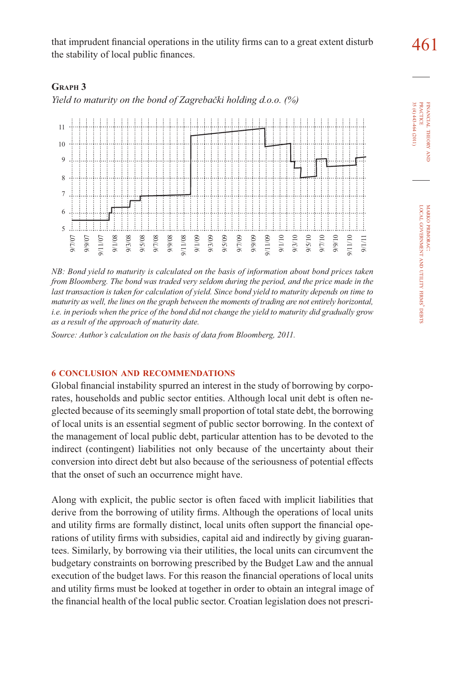that imprudent financial operations in the utility firms can to a great extent disturb  $\frac{461}{100}$ the stability of local public finances.

# **GRAPH 3**

*Yield to maturity on the bond of Zagrebački holding d.o.o. (%)*



*NB: Bond yield to maturity is calculated on the basis of information about bond prices taken from Bloomberg. The bond was traded very seldom during the period, and the price made in the* last transaction is taken for calculation of yield. Since bond yield to maturity depends on time to *maturity as well, the lines on the graph between the moments of trading are not entirely horizontal, i.e. in periods when the price of the bond did not change the yield to maturity did gradually grow as a result of the approach of maturity date.*

*Source: Author's calculation on the basis of data from Bloomberg, 2011.*

# **6 CONCLUSION AND RECOMMENDATIONS**

Global financial instability spurred an interest in the study of borrowing by corporates, households and public sector entities. Although local unit debt is often neglected because of its seemingly small proportion of total state debt, the borrowing of local units is an essential segment of public sector borrowing. In the context of the management of local public debt, particular attention has to be devoted to the indirect (contingent) liabilities not only because of the uncertainty about their conversion into direct debt but also because of the seriousness of potential effects that the onset of such an occurrence might have.

Along with explicit, the public sector is often faced with implicit liabilities that derive from the borrowing of utility firms. Although the operations of local units and utility firms are formally distinct, local units often support the financial operations of utility firms with subsidies, capital aid and indirectly by giving guarantees. Similarly, by borrowing via their utilities, the local units can circumvent the budgetary constraints on borrowing prescribed by the Budget Law and the annual execution of the budget laws. For this reason the financial operations of local units and utility firms must be looked at together in order to obtain an integral image of the financial health of the local public sector. Croatian legislation does not prescri35 (4) 443-464 (2011) **PRACTICE** PRACTICE FINANCIAL 35 (4) 443-464 (2011) FINANCIAL THEORY THEORY AND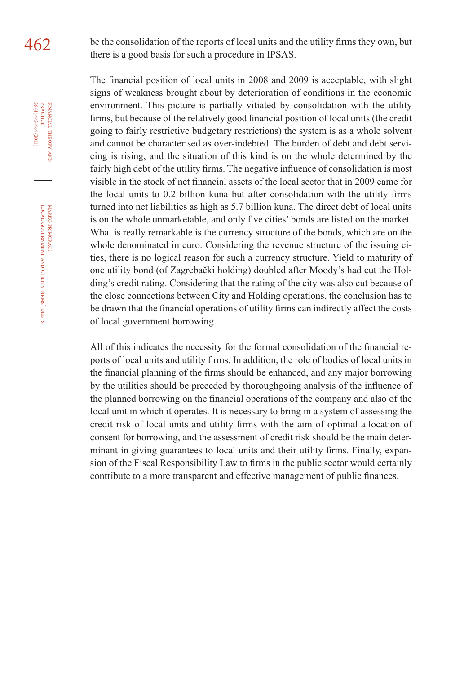$462$  be the consolidation of the reports of local units and the utility firms they own, but there is a good basis for such a procedure in IPSAS.

> The financial position of local units in 2008 and 2009 is acceptable, with slight signs of weakness brought about by deterioration of conditions in the economic environment. This picture is partially vitiated by consolidation with the utility firms, but because of the relatively good financial position of local units (the credit going to fairly restrictive budgetary restrictions) the system is as a whole solvent and cannot be characterised as over-indebted. The burden of debt and debt servicing is rising, and the situation of this kind is on the whole determined by the fairly high debt of the utility firms. The negative influence of consolidation is most visible in the stock of net financial assets of the local sector that in 2009 came for the local units to  $0.2$  billion kuna but after consolidation with the utility firms turned into net liabilities as high as 5.7 billion kuna. The direct debt of local units is on the whole unmarketable, and only five cities' bonds are listed on the market. What is really remarkable is the currency structure of the bonds, which are on the whole denominated in euro. Considering the revenue structure of the issuing cities, there is no logical reason for such a currency structure. Yield to maturity of one utility bond (of Zagrebački holding) doubled after Moody's had cut the Holding's credit rating. Considering that the rating of the city was also cut because of the close connections between City and Holding operations, the conclusion has to be drawn that the financial operations of utility firms can indirectly affect the costs of local government borrowing.

> All of this indicates the necessity for the formal consolidation of the financial reports of local units and utility firms. In addition, the role of bodies of local units in the financial planning of the firms should be enhanced, and any major borrowing by the utilities should be preceded by thoroughgoing analysis of the influence of the planned borrowing on the financial operations of the company and also of the local unit in which it operates. It is necessary to bring in a system of assessing the credit risk of local units and utility firms with the aim of optimal allocation of consent for borrowing, and the assessment of credit risk should be the main determinant in giving guarantees to local units and their utility firms. Finally, expansion of the Fiscal Responsibility Law to firms in the public sector would certainly contribute to a more transparent and effective management of public finances.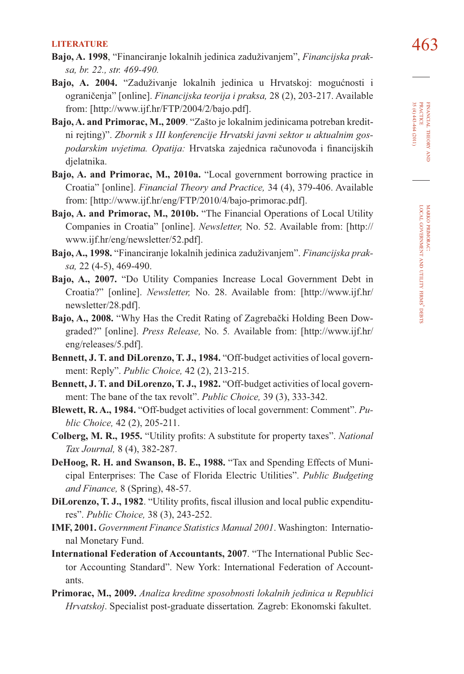- **LITERATURE** 463 **Bajo, A. 1998**, "Financiranje lokalnih jedinica zaduživanjem", *Financijska praksa, br. 22., str. 469-490.*
- **Bajo, A. 2004.** "Zaduživanje lokalnih jedinica u Hrvatskoj: mogućnosti i ograničenja" [online]. *Financijska teorija i praksa,* 28 (2), 203-217. Available from: [http://www.ijf.hr/FTP/2004/2/bajo.pdf].
- **Bajo, A. and Primorac, M., 2009**. "Zašto je lokalnim jedinicama potreban kreditni rejting)". *Zbornik s III konferencije Hrvatski javni sektor u aktualnim gos*podarskim uvjetima. Opatija: Hrvatska zajednica računovođa i financijskih djelatnika.
- **Bajo, A. and Primorac, M., 2010a.** "Local government borrowing practice in Croatia" [online]. *Financial Theory and Practice,* 34 (4), 379-406. Available from: [http://www.ijf.hr/eng/FTP/2010/4/bajo-primorac.pdf].
- **Bajo, A. and Primorac, M., 2010b.** "The Financial Operations of Local Utility Companies in Croatia" [online]. *Newsletter,* No. 52. Available from: [http:// www.ijf.hr/eng/newsletter/52.pdf].
- **Bajo, A., 1998.** "Financiranje lokalnih jedinica zaduživanjem". *Financijska praksa,* 22 (4-5), 469-490.
- **Bajo, A., 2007.** "Do Utility Companies Increase Local Government Debt in Croatia?" [online]. *Newsletter,* No. 28. Available from: [http://www.ijf.hr/ newsletter/28.pdf].
- **Bajo, A., 2008.** "Why Has the Credit Rating of Zagrebački Holding Been Dowgraded?" [online]. *Press Release,* No. 5*.* Available from: [http://www.ijf.hr/ eng/releases/5.pdf].
- **Bennett, J. T. and DiLorenzo, T. J., 1984.** "Off-budget activities of local government: Reply". *Public Choice,* 42 (2), 213-215.
- **Bennett, J. T. and DiLorenzo, T. J., 1982.** "Off-budget activities of local government: The bane of the tax revolt". *Public Choice,* 39 (3), 333-342.
- **Blewett, R. A., 1984.** "Off-budget activities of local government: Comment". *Public Choice,* 42 (2), 205-211.
- **Colberg, M. R., 1955.** "Utility profits: A substitute for property taxes". *National Tax Journal,* 8 (4), 382-287.
- **DeHoog, R. H. and Swanson, B. E., 1988.** "Tax and Spending Effects of Municipal Enterprises: The Case of Florida Electric Utilities". *Public Budgeting and Finance,* 8 (Spring), 48-57.
- **DiLorenzo, T. J., 1982.** "Utility profits, fiscal illusion and local public expenditures". *Public Choice,* 38 (3), 243-252.
- **IMF, 2001.** *Government Finance Statistics Manual 2001*. Washington: International Monetary Fund.
- **International Federation of Accountants, 2007**. "The International Public Sector Accounting Standard". New York: International Federation of Accountants.
- **Primorac, M., 2009.** *Analiza kreditne sposobnosti lokalnih jedinica u Republici Hrvatskoj*. Specialist post-graduate dissertation*.* Zagreb: Ekonomski fakultet.